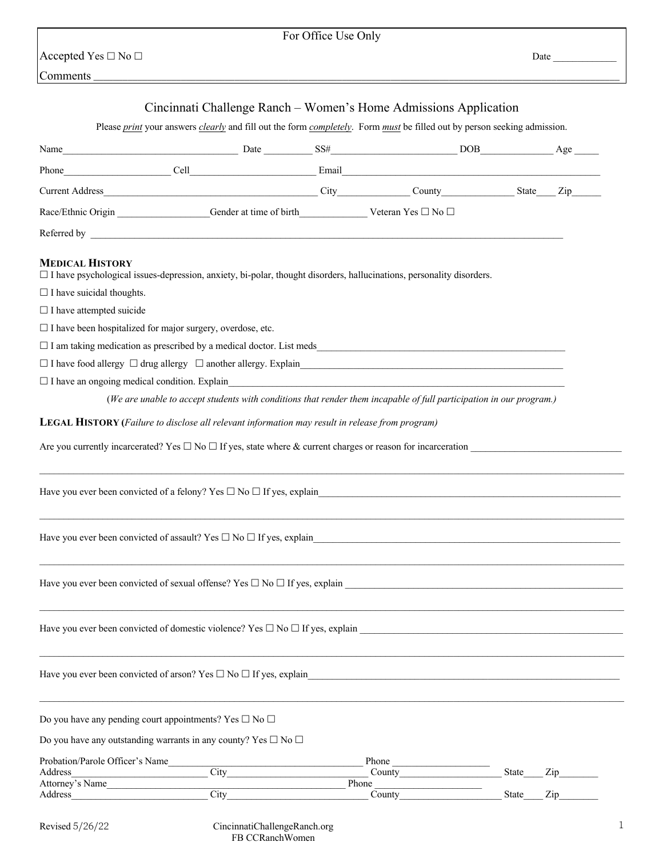## For Office Use Only

 $\bigcap_{i=1}^n$  Accepted Yes  $\square$  No  $\square$ 

| Comments_                                                                                                                                                                                                                            |                                                                                                                          |                      |       |                                  |
|--------------------------------------------------------------------------------------------------------------------------------------------------------------------------------------------------------------------------------------|--------------------------------------------------------------------------------------------------------------------------|----------------------|-------|----------------------------------|
|                                                                                                                                                                                                                                      | Cincinnati Challenge Ranch – Women's Home Admissions Application                                                         |                      |       |                                  |
|                                                                                                                                                                                                                                      | Please print your answers clearly and fill out the form completely. Form must be filled out by person seeking admission. |                      |       |                                  |
| Name                                                                                                                                                                                                                                 | Done Date SS# DOB DOB Age Age                                                                                            |                      |       |                                  |
|                                                                                                                                                                                                                                      |                                                                                                                          |                      |       |                                  |
|                                                                                                                                                                                                                                      |                                                                                                                          |                      |       |                                  |
| Race/Ethnic Origin Gender at time of birth Veteran Yes □ No □                                                                                                                                                                        |                                                                                                                          |                      |       |                                  |
| Referred by <u>the contract of the contract of the contract of the contract of the contract of the contract of the contract of the contract of the contract of the contract of the contract of the contract of the contract of t</u> |                                                                                                                          |                      |       |                                  |
| <b>MEDICAL HISTORY</b><br>$\Box$ I have psychological issues-depression, anxiety, bi-polar, thought disorders, hallucinations, personality disorders.<br>$\Box$ I have suicidal thoughts.                                            |                                                                                                                          |                      |       |                                  |
| $\Box$ I have attempted suicide                                                                                                                                                                                                      |                                                                                                                          |                      |       |                                  |
| $\Box$ I have been hospitalized for major surgery, overdose, etc.                                                                                                                                                                    |                                                                                                                          |                      |       |                                  |
| $\Box$ I am taking medication as prescribed by a medical doctor. List meds                                                                                                                                                           |                                                                                                                          |                      |       |                                  |
|                                                                                                                                                                                                                                      |                                                                                                                          |                      |       |                                  |
| $\Box$ I have an ongoing medical condition. Explain                                                                                                                                                                                  | (We are unable to accept students with conditions that render them incapable of full participation in our program.)      |                      |       |                                  |
| LEGAL HISTORY (Failure to disclose all relevant information may result in release from program)<br>Are you currently incarcerated? Yes $\Box$ No $\Box$ If yes, state where & current charges or reason for incarceration            |                                                                                                                          |                      |       |                                  |
| Have you ever been convicted of a felony? Yes $\Box$ No $\Box$ If yes, explain                                                                                                                                                       |                                                                                                                          |                      |       |                                  |
| Have you ever been convicted of assault? Yes $\square$ No $\square$ If yes, explain                                                                                                                                                  |                                                                                                                          |                      |       |                                  |
| Have you ever been convicted of sexual offense? Yes $\square$ No $\square$ If yes, explain                                                                                                                                           |                                                                                                                          |                      |       |                                  |
| Have you ever been convicted of domestic violence? Yes $\square$ No $\square$ If yes, explain                                                                                                                                        |                                                                                                                          |                      |       |                                  |
| Have you ever been convicted of arson? Yes $\Box$ No $\Box$ If yes, explain                                                                                                                                                          |                                                                                                                          |                      |       |                                  |
| Do you have any pending court appointments? Yes $\square$ No $\square$                                                                                                                                                               |                                                                                                                          |                      |       |                                  |
| Do you have any outstanding warrants in any county? Yes $\square$ No $\square$                                                                                                                                                       |                                                                                                                          |                      |       |                                  |
| Probation/Parole Officer's Name                                                                                                                                                                                                      |                                                                                                                          | Phone                |       |                                  |
| Address<br>Attorney's Name                                                                                                                                                                                                           | City                                                                                                                     | County<br>Phone      | State | $\mathop{\mathrm{Zip}}\nolimits$ |
| Address                                                                                                                                                                                                                              | City                                                                                                                     | <b>County</b> county | State | Zip                              |

Revised 5/26/22 CincinnatiChallengeRanch.org FB CCRanchWomen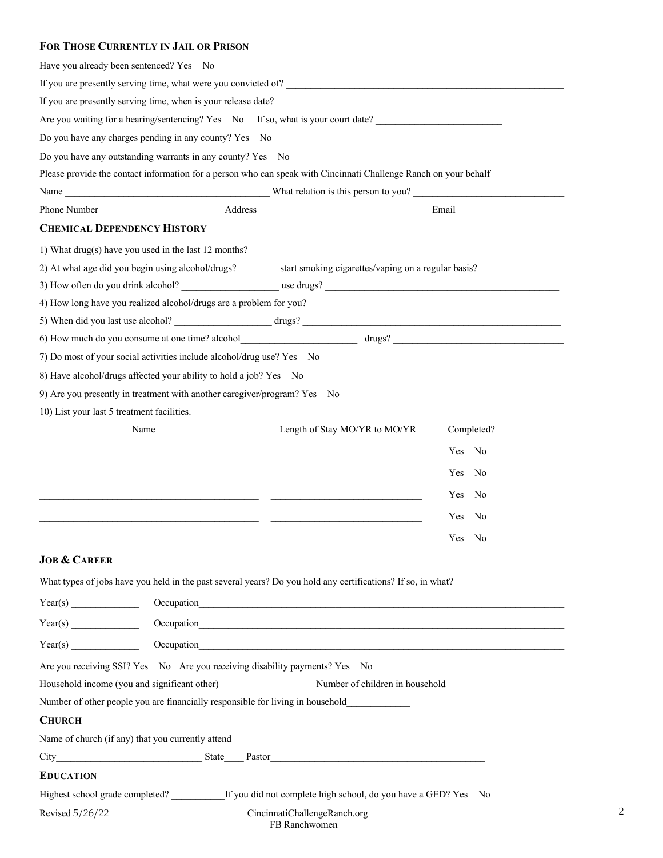## **FOR THOSE CURRENTLY IN JAIL OR PRISON**

| Have you already been sentenced? Yes No    |                                                                             |                                                                                                                                                                                                                                |                    |
|--------------------------------------------|-----------------------------------------------------------------------------|--------------------------------------------------------------------------------------------------------------------------------------------------------------------------------------------------------------------------------|--------------------|
|                                            |                                                                             | If you are presently serving time, what were you convicted of?                                                                                                                                                                 |                    |
|                                            |                                                                             | If you are presently serving time, when is your release date?                                                                                                                                                                  |                    |
|                                            |                                                                             | Are you waiting for a hearing/sentencing? Yes No If so, what is your court date?                                                                                                                                               |                    |
|                                            | Do you have any charges pending in any county? Yes No                       |                                                                                                                                                                                                                                |                    |
|                                            | Do you have any outstanding warrants in any county? Yes No                  |                                                                                                                                                                                                                                |                    |
|                                            |                                                                             | Please provide the contact information for a person who can speak with Cincinnati Challenge Ranch on your behalf                                                                                                               |                    |
|                                            |                                                                             |                                                                                                                                                                                                                                |                    |
|                                            |                                                                             |                                                                                                                                                                                                                                |                    |
| <b>CHEMICAL DEPENDENCY HISTORY</b>         |                                                                             |                                                                                                                                                                                                                                |                    |
|                                            |                                                                             |                                                                                                                                                                                                                                |                    |
|                                            |                                                                             | 2) At what age did you begin using alcohol/drugs? start smoking cigarettes/vaping on a regular basis?                                                                                                                          |                    |
|                                            |                                                                             |                                                                                                                                                                                                                                |                    |
|                                            |                                                                             |                                                                                                                                                                                                                                |                    |
|                                            |                                                                             |                                                                                                                                                                                                                                |                    |
|                                            |                                                                             |                                                                                                                                                                                                                                |                    |
|                                            | 7) Do most of your social activities include alcohol/drug use? Yes No       |                                                                                                                                                                                                                                |                    |
|                                            | 8) Have alcohol/drugs affected your ability to hold a job? Yes No           |                                                                                                                                                                                                                                |                    |
|                                            | 9) Are you presently in treatment with another caregiver/program? Yes No    |                                                                                                                                                                                                                                |                    |
| 10) List your last 5 treatment facilities. |                                                                             |                                                                                                                                                                                                                                |                    |
| Name                                       |                                                                             | Length of Stay MO/YR to MO/YR                                                                                                                                                                                                  | Completed?         |
|                                            |                                                                             |                                                                                                                                                                                                                                | Yes No             |
|                                            |                                                                             |                                                                                                                                                                                                                                | <b>Yes</b><br>No   |
|                                            |                                                                             |                                                                                                                                                                                                                                |                    |
|                                            |                                                                             |                                                                                                                                                                                                                                | No<br><b>Yes</b>   |
|                                            |                                                                             |                                                                                                                                                                                                                                | <b>Yes</b><br>- No |
|                                            |                                                                             |                                                                                                                                                                                                                                | Yes No             |
| <b>JOB &amp; CAREER</b>                    |                                                                             |                                                                                                                                                                                                                                |                    |
|                                            |                                                                             | What types of jobs have you held in the past several years? Do you hold any certifications? If so, in what?                                                                                                                    |                    |
|                                            |                                                                             |                                                                                                                                                                                                                                |                    |
|                                            |                                                                             |                                                                                                                                                                                                                                |                    |
|                                            |                                                                             | Occupation expansion and the contract of the contract of the contract of the contract of the contract of the contract of the contract of the contract of the contract of the contract of the contract of the contract of the c |                    |
|                                            | Are you receiving SSI? Yes No Are you receiving disability payments? Yes No |                                                                                                                                                                                                                                |                    |
|                                            |                                                                             | Household income (you and significant other) Number of children in household                                                                                                                                                   |                    |
|                                            |                                                                             | Number of other people you are financially responsible for living in household                                                                                                                                                 |                    |
| <b>CHURCH</b>                              |                                                                             |                                                                                                                                                                                                                                |                    |
|                                            |                                                                             |                                                                                                                                                                                                                                |                    |
|                                            |                                                                             |                                                                                                                                                                                                                                |                    |
| <b>EDUCATION</b>                           |                                                                             |                                                                                                                                                                                                                                |                    |
|                                            |                                                                             | Highest school grade completed? ____________If you did not complete high school, do you have a GED? Yes No                                                                                                                     |                    |
| Revised 5/26/22                            |                                                                             | CincinnatiChallengeRanch.org                                                                                                                                                                                                   |                    |

FB Ranchwomen